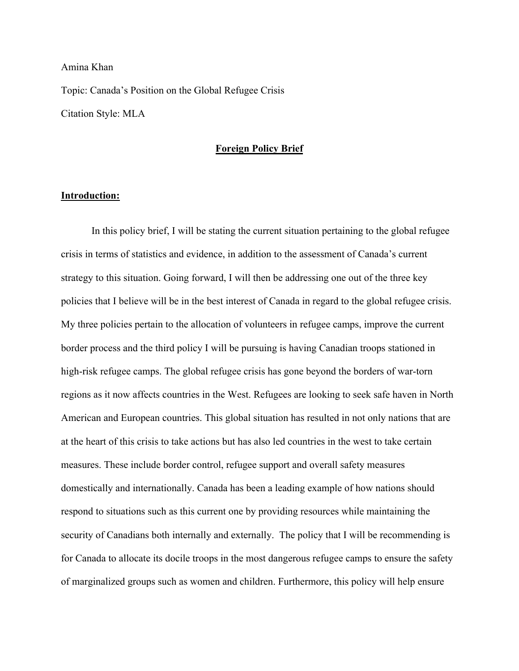## Amina Khan

Topic: Canada's Position on the Global Refugee Crisis Citation Style: MLA

# **Foreign Policy Brief**

# **Introduction:**

In this policy brief, I will be stating the current situation pertaining to the global refugee crisis in terms of statistics and evidence, in addition to the assessment of Canada's current strategy to this situation. Going forward, I will then be addressing one out of the three key policies that I believe will be in the best interest of Canada in regard to the global refugee crisis. My three policies pertain to the allocation of volunteers in refugee camps, improve the current border process and the third policy I will be pursuing is having Canadian troops stationed in high-risk refugee camps. The global refugee crisis has gone beyond the borders of war-torn regions as it now affects countries in the West. Refugees are looking to seek safe haven in North American and European countries. This global situation has resulted in not only nations that are at the heart of this crisis to take actions but has also led countries in the west to take certain measures. These include border control, refugee support and overall safety measures domestically and internationally. Canada has been a leading example of how nations should respond to situations such as this current one by providing resources while maintaining the security of Canadians both internally and externally. The policy that I will be recommending is for Canada to allocate its docile troops in the most dangerous refugee camps to ensure the safety of marginalized groups such as women and children. Furthermore, this policy will help ensure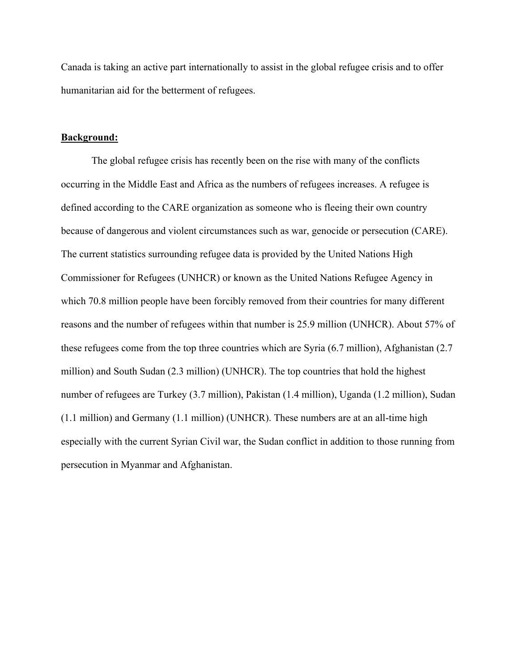Canada is taking an active part internationally to assist in the global refugee crisis and to offer humanitarian aid for the betterment of refugees.

## **Background:**

The global refugee crisis has recently been on the rise with many of the conflicts occurring in the Middle East and Africa as the numbers of refugees increases. A refugee is defined according to the CARE organization as someone who is fleeing their own country because of dangerous and violent circumstances such as war, genocide or persecution (CARE). The current statistics surrounding refugee data is provided by the United Nations High Commissioner for Refugees (UNHCR) or known as the United Nations Refugee Agency in which 70.8 million people have been forcibly removed from their countries for many different reasons and the number of refugees within that number is 25.9 million (UNHCR). About 57% of these refugees come from the top three countries which are Syria (6.7 million), Afghanistan (2.7 million) and South Sudan (2.3 million) (UNHCR). The top countries that hold the highest number of refugees are Turkey (3.7 million), Pakistan (1.4 million), Uganda (1.2 million), Sudan (1.1 million) and Germany (1.1 million) (UNHCR). These numbers are at an all-time high especially with the current Syrian Civil war, the Sudan conflict in addition to those running from persecution in Myanmar and Afghanistan.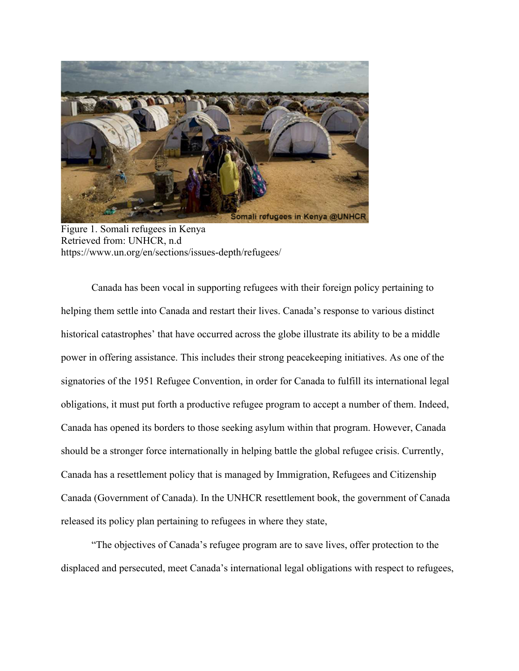

Figure 1. Somali refugees in Kenya Retrieved from: UNHCR, n.d https://www.un.org/en/sections/issues-depth/refugees/

Canada has been vocal in supporting refugees with their foreign policy pertaining to helping them settle into Canada and restart their lives. Canada's response to various distinct historical catastrophes' that have occurred across the globe illustrate its ability to be a middle power in offering assistance. This includes their strong peacekeeping initiatives. As one of the signatories of the 1951 Refugee Convention, in order for Canada to fulfill its international legal obligations, it must put forth a productive refugee program to accept a number of them. Indeed, Canada has opened its borders to those seeking asylum within that program. However, Canada should be a stronger force internationally in helping battle the global refugee crisis. Currently, Canada has a resettlement policy that is managed by Immigration, Refugees and Citizenship Canada (Government of Canada). In the UNHCR resettlement book, the government of Canada released its policy plan pertaining to refugees in where they state,

"The objectives of Canada's refugee program are to save lives, offer protection to the displaced and persecuted, meet Canada's international legal obligations with respect to refugees,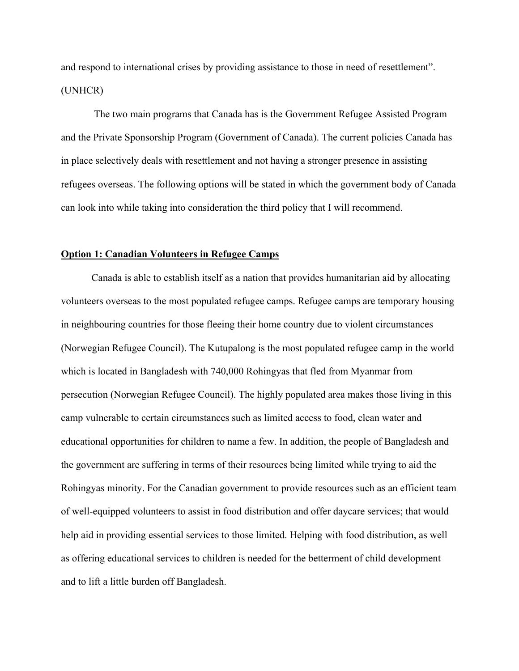and respond to international crises by providing assistance to those in need of resettlement". (UNHCR)

The two main programs that Canada has is the Government Refugee Assisted Program and the Private Sponsorship Program (Government of Canada). The current policies Canada has in place selectively deals with resettlement and not having a stronger presence in assisting refugees overseas. The following options will be stated in which the government body of Canada can look into while taking into consideration the third policy that I will recommend.

#### **Option 1: Canadian Volunteers in Refugee Camps**

Canada is able to establish itself as a nation that provides humanitarian aid by allocating volunteers overseas to the most populated refugee camps. Refugee camps are temporary housing in neighbouring countries for those fleeing their home country due to violent circumstances (Norwegian Refugee Council). The Kutupalong is the most populated refugee camp in the world which is located in Bangladesh with 740,000 Rohingyas that fled from Myanmar from persecution (Norwegian Refugee Council). The highly populated area makes those living in this camp vulnerable to certain circumstances such as limited access to food, clean water and educational opportunities for children to name a few. In addition, the people of Bangladesh and the government are suffering in terms of their resources being limited while trying to aid the Rohingyas minority. For the Canadian government to provide resources such as an efficient team of well-equipped volunteers to assist in food distribution and offer daycare services; that would help aid in providing essential services to those limited. Helping with food distribution, as well as offering educational services to children is needed for the betterment of child development and to lift a little burden off Bangladesh.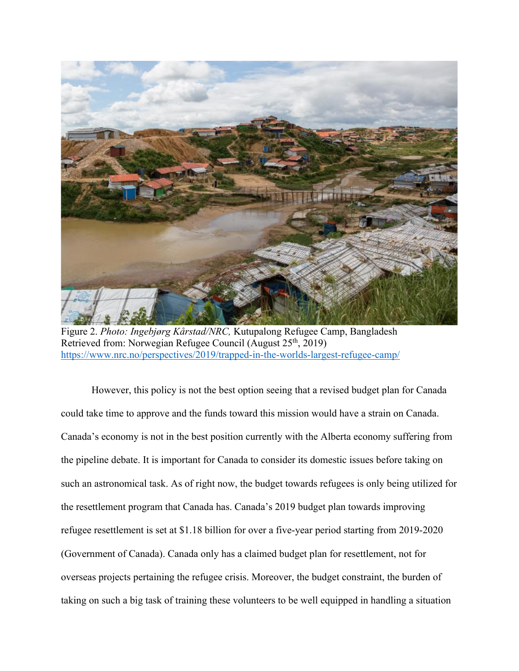

Figure 2. *Photo: Ingebjørg Kårstad/NRC,* Kutupalong Refugee Camp, Bangladesh Retrieved from: Norwegian Refugee Council (August 25<sup>th</sup>, 2019) https://www.nrc.no/perspectives/2019/trapped-in-the-worlds-largest-refugee-camp/

However, this policy is not the best option seeing that a revised budget plan for Canada could take time to approve and the funds toward this mission would have a strain on Canada. Canada's economy is not in the best position currently with the Alberta economy suffering from the pipeline debate. It is important for Canada to consider its domestic issues before taking on such an astronomical task. As of right now, the budget towards refugees is only being utilized for the resettlement program that Canada has. Canada's 2019 budget plan towards improving refugee resettlement is set at \$1.18 billion for over a five-year period starting from 2019-2020 (Government of Canada). Canada only has a claimed budget plan for resettlement, not for overseas projects pertaining the refugee crisis. Moreover, the budget constraint, the burden of taking on such a big task of training these volunteers to be well equipped in handling a situation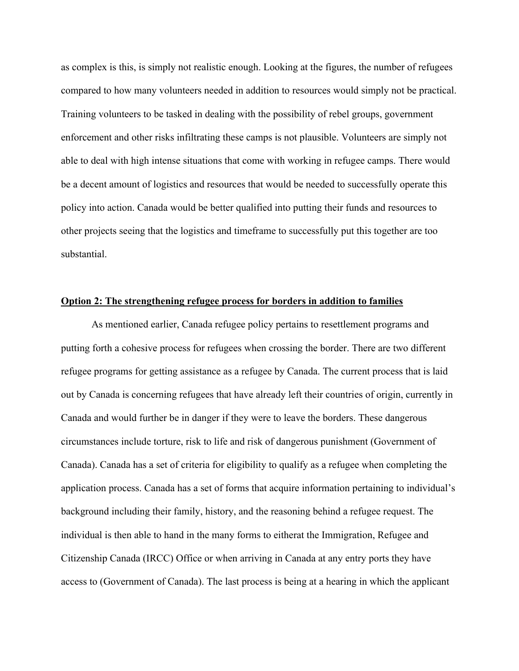as complex is this, is simply not realistic enough. Looking at the figures, the number of refugees compared to how many volunteers needed in addition to resources would simply not be practical. Training volunteers to be tasked in dealing with the possibility of rebel groups, government enforcement and other risks infiltrating these camps is not plausible. Volunteers are simply not able to deal with high intense situations that come with working in refugee camps. There would be a decent amount of logistics and resources that would be needed to successfully operate this policy into action. Canada would be better qualified into putting their funds and resources to other projects seeing that the logistics and timeframe to successfully put this together are too substantial.

## **Option 2: The strengthening refugee process for borders in addition to families**

As mentioned earlier, Canada refugee policy pertains to resettlement programs and putting forth a cohesive process for refugees when crossing the border. There are two different refugee programs for getting assistance as a refugee by Canada. The current process that is laid out by Canada is concerning refugees that have already left their countries of origin, currently in Canada and would further be in danger if they were to leave the borders. These dangerous circumstances include torture, risk to life and risk of dangerous punishment (Government of Canada). Canada has a set of criteria for eligibility to qualify as a refugee when completing the application process. Canada has a set of forms that acquire information pertaining to individual's background including their family, history, and the reasoning behind a refugee request. The individual is then able to hand in the many forms to eitherat the Immigration, Refugee and Citizenship Canada (IRCC) Office or when arriving in Canada at any entry ports they have access to (Government of Canada). The last process is being at a hearing in which the applicant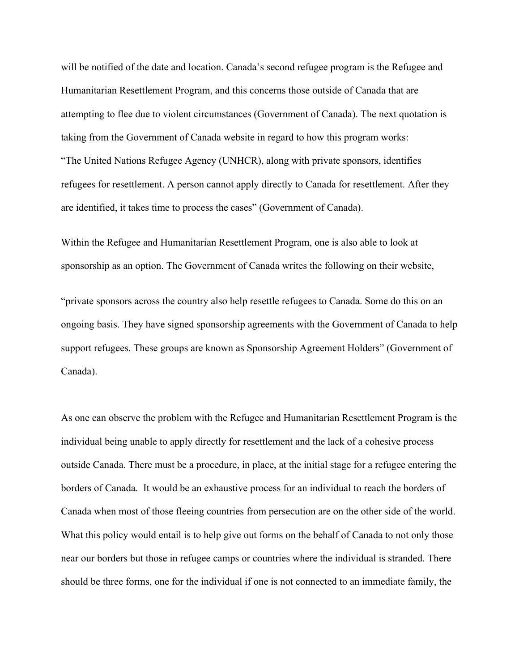will be notified of the date and location. Canada's second refugee program is the Refugee and Humanitarian Resettlement Program, and this concerns those outside of Canada that are attempting to flee due to violent circumstances (Government of Canada). The next quotation is taking from the Government of Canada website in regard to how this program works: "The United Nations Refugee Agency (UNHCR), along with private sponsors, identifies refugees for resettlement. A person cannot apply directly to Canada for resettlement. After they are identified, it takes time to process the cases" (Government of Canada).

Within the Refugee and Humanitarian Resettlement Program, one is also able to look at sponsorship as an option. The Government of Canada writes the following on their website,

"private sponsors across the country also help resettle refugees to Canada. Some do this on an ongoing basis. They have signed sponsorship agreements with the Government of Canada to help support refugees. These groups are known as Sponsorship Agreement Holders" (Government of Canada).

As one can observe the problem with the Refugee and Humanitarian Resettlement Program is the individual being unable to apply directly for resettlement and the lack of a cohesive process outside Canada. There must be a procedure, in place, at the initial stage for a refugee entering the borders of Canada. It would be an exhaustive process for an individual to reach the borders of Canada when most of those fleeing countries from persecution are on the other side of the world. What this policy would entail is to help give out forms on the behalf of Canada to not only those near our borders but those in refugee camps or countries where the individual is stranded. There should be three forms, one for the individual if one is not connected to an immediate family, the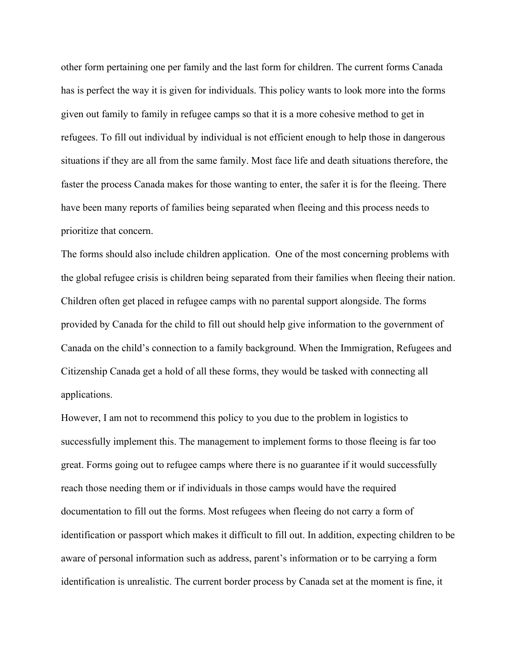other form pertaining one per family and the last form for children. The current forms Canada has is perfect the way it is given for individuals. This policy wants to look more into the forms given out family to family in refugee camps so that it is a more cohesive method to get in refugees. To fill out individual by individual is not efficient enough to help those in dangerous situations if they are all from the same family. Most face life and death situations therefore, the faster the process Canada makes for those wanting to enter, the safer it is for the fleeing. There have been many reports of families being separated when fleeing and this process needs to prioritize that concern.

The forms should also include children application. One of the most concerning problems with the global refugee crisis is children being separated from their families when fleeing their nation. Children often get placed in refugee camps with no parental support alongside. The forms provided by Canada for the child to fill out should help give information to the government of Canada on the child's connection to a family background. When the Immigration, Refugees and Citizenship Canada get a hold of all these forms, they would be tasked with connecting all applications.

However, I am not to recommend this policy to you due to the problem in logistics to successfully implement this. The management to implement forms to those fleeing is far too great. Forms going out to refugee camps where there is no guarantee if it would successfully reach those needing them or if individuals in those camps would have the required documentation to fill out the forms. Most refugees when fleeing do not carry a form of identification or passport which makes it difficult to fill out. In addition, expecting children to be aware of personal information such as address, parent's information or to be carrying a form identification is unrealistic. The current border process by Canada set at the moment is fine, it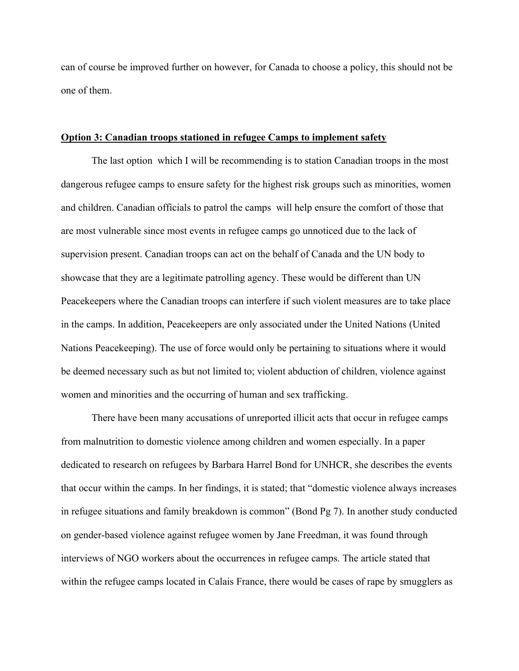can of course be improved further on however, for Canada to choose a policy, this should not be one of them.

# **Option 3: Canadian troops stationed in refugee Camps to implement safety**

The last option which I will be recommending is to station Canadian troops in the most dangerous refugee camps to ensure safety for the highest risk groups such as minorities, women and children. Canadian officials to patrol the camps will help ensure the comfort of those that are most vulnerable since most events in refugee camps go unnoticed due to the lack of supervision present. Canadian troops can act on the behalf of Canada and the UN body to showcase that they are a legitimate patrolling agency. These would be different than UN Peacekeepers where the Canadian troops can interfere if such violent measures are to take place in the camps. In addition, Peacekeepers are only associated under the United Nations (United Nations Peacekeeping). The use of force would only be pertaining to situations where it would be deemed necessary such as but not limited to; violent abduction of children, violence against women and minorities and the occurring of human and sex trafficking.

There have been many accusations of unreported illicit acts that occur in refugee camps from malnutrition to domestic violence among children and women especially. In a paper dedicated to research on refugees by Barbara Harrel Bond for UNHCR, she describes the events that occur within the camps. In her findings, it is stated; that "domestic violence always increases in refugee situations and family breakdown is common" (Bond Pg 7). In another study conducted on gender-based violence against refugee women by Jane Freedman, it was found through interviews of NGO workers about the occurrences in refugee camps. The article stated that within the refugee camps located in Calais France, there would be cases of rape by smugglers as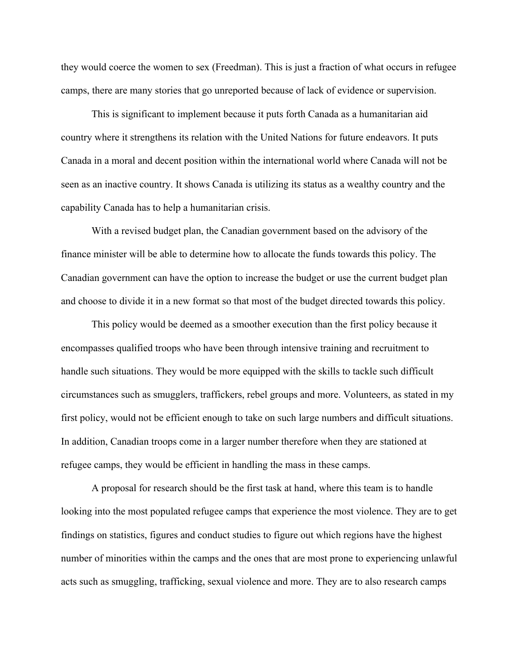they would coerce the women to sex (Freedman). This is just a fraction of what occurs in refugee camps, there are many stories that go unreported because of lack of evidence or supervision.

This is significant to implement because it puts forth Canada as a humanitarian aid country where it strengthens its relation with the United Nations for future endeavors. It puts Canada in a moral and decent position within the international world where Canada will not be seen as an inactive country. It shows Canada is utilizing its status as a wealthy country and the capability Canada has to help a humanitarian crisis.

With a revised budget plan, the Canadian government based on the advisory of the finance minister will be able to determine how to allocate the funds towards this policy. The Canadian government can have the option to increase the budget or use the current budget plan and choose to divide it in a new format so that most of the budget directed towards this policy.

This policy would be deemed as a smoother execution than the first policy because it encompasses qualified troops who have been through intensive training and recruitment to handle such situations. They would be more equipped with the skills to tackle such difficult circumstances such as smugglers, traffickers, rebel groups and more. Volunteers, as stated in my first policy, would not be efficient enough to take on such large numbers and difficult situations. In addition, Canadian troops come in a larger number therefore when they are stationed at refugee camps, they would be efficient in handling the mass in these camps.

A proposal for research should be the first task at hand, where this team is to handle looking into the most populated refugee camps that experience the most violence. They are to get findings on statistics, figures and conduct studies to figure out which regions have the highest number of minorities within the camps and the ones that are most prone to experiencing unlawful acts such as smuggling, trafficking, sexual violence and more. They are to also research camps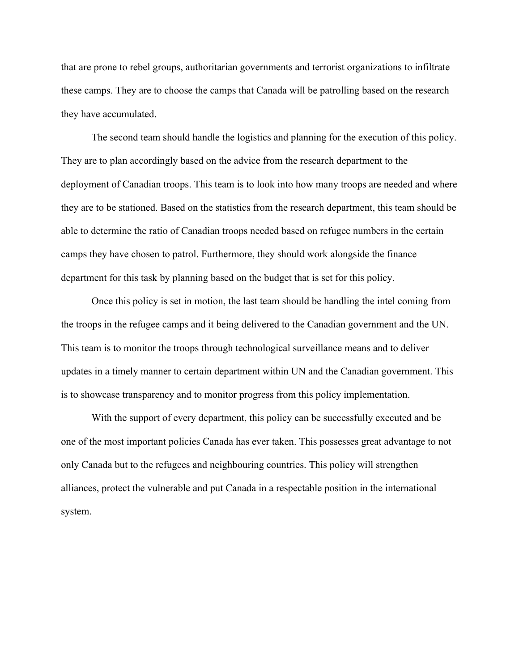that are prone to rebel groups, authoritarian governments and terrorist organizations to infiltrate these camps. They are to choose the camps that Canada will be patrolling based on the research they have accumulated.

The second team should handle the logistics and planning for the execution of this policy. They are to plan accordingly based on the advice from the research department to the deployment of Canadian troops. This team is to look into how many troops are needed and where they are to be stationed. Based on the statistics from the research department, this team should be able to determine the ratio of Canadian troops needed based on refugee numbers in the certain camps they have chosen to patrol. Furthermore, they should work alongside the finance department for this task by planning based on the budget that is set for this policy.

Once this policy is set in motion, the last team should be handling the intel coming from the troops in the refugee camps and it being delivered to the Canadian government and the UN. This team is to monitor the troops through technological surveillance means and to deliver updates in a timely manner to certain department within UN and the Canadian government. This is to showcase transparency and to monitor progress from this policy implementation.

With the support of every department, this policy can be successfully executed and be one of the most important policies Canada has ever taken. This possesses great advantage to not only Canada but to the refugees and neighbouring countries. This policy will strengthen alliances, protect the vulnerable and put Canada in a respectable position in the international system.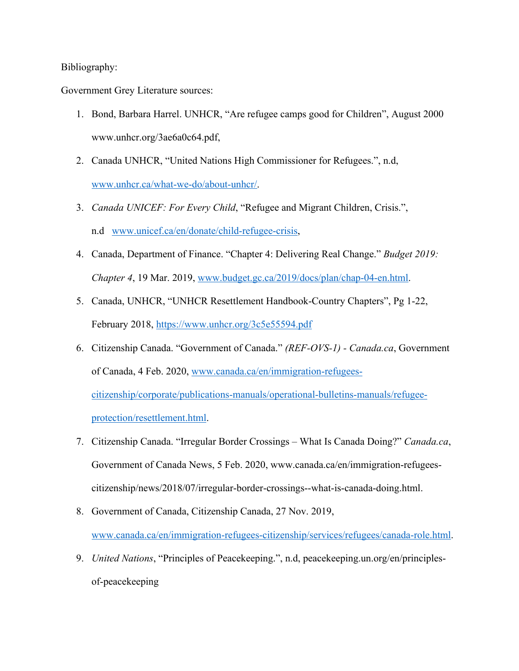# Bibliography:

Government Grey Literature sources:

- 1. Bond, Barbara Harrel. UNHCR, "Are refugee camps good for Children", August 2000 www.unhcr.org/3ae6a0c64.pdf,
- 2. Canada UNHCR, "United Nations High Commissioner for Refugees.", n.d, www.unhcr.ca/what-we-do/about-unhcr/.
- 3. *Canada UNICEF: For Every Child*, "Refugee and Migrant Children, Crisis.", n.d www.unicef.ca/en/donate/child-refugee-crisis,
- 4. Canada, Department of Finance. "Chapter 4: Delivering Real Change." *Budget 2019: Chapter 4*, 19 Mar. 2019, www.budget.gc.ca/2019/docs/plan/chap-04-en.html.
- 5. Canada, UNHCR, "UNHCR Resettlement Handbook-Country Chapters", Pg 1-22, February 2018, https://www.unhcr.org/3c5e55594.pdf
- 6. Citizenship Canada. "Government of Canada." *(REF-OVS-1) - Canada.ca*, Government of Canada, 4 Feb. 2020, www.canada.ca/en/immigration-refugeescitizenship/corporate/publications-manuals/operational-bulletins-manuals/refugeeprotection/resettlement.html.
- 7. Citizenship Canada. "Irregular Border Crossings What Is Canada Doing?" *Canada.ca*, Government of Canada News, 5 Feb. 2020, www.canada.ca/en/immigration-refugeescitizenship/news/2018/07/irregular-border-crossings--what-is-canada-doing.html.
- 8. Government of Canada, Citizenship Canada, 27 Nov. 2019, www.canada.ca/en/immigration-refugees-citizenship/services/refugees/canada-role.html.
- 9. *United Nations*, "Principles of Peacekeeping.", n.d, peacekeeping.un.org/en/principlesof-peacekeeping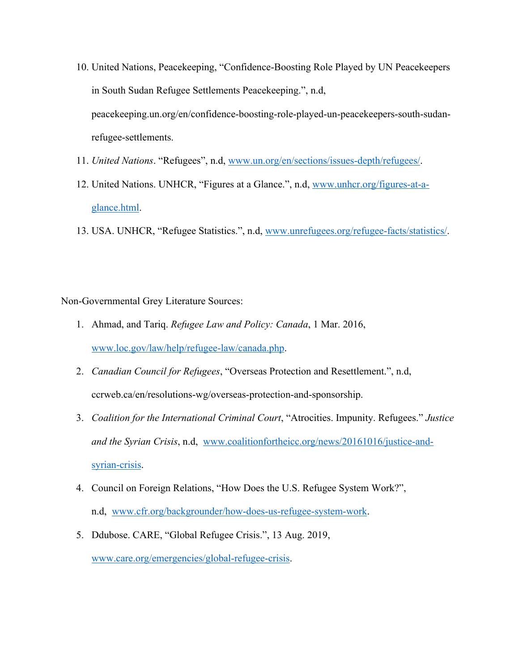- 10. United Nations, Peacekeeping, "Confidence-Boosting Role Played by UN Peacekeepers in South Sudan Refugee Settlements Peacekeeping.", n.d, peacekeeping.un.org/en/confidence-boosting-role-played-un-peacekeepers-south-sudanrefugee-settlements.
- 11. *United Nations*. "Refugees", n.d, www.un.org/en/sections/issues-depth/refugees/.
- 12. United Nations. UNHCR, "Figures at a Glance.", n.d, www.unhcr.org/figures-at-aglance.html.
- 13. USA. UNHCR, "Refugee Statistics.", n.d, www.unrefugees.org/refugee-facts/statistics/.

Non-Governmental Grey Literature Sources:

- 1. Ahmad, and Tariq. *Refugee Law and Policy: Canada*, 1 Mar. 2016, www.loc.gov/law/help/refugee-law/canada.php.
- 2. *Canadian Council for Refugees*, "Overseas Protection and Resettlement.", n.d, ccrweb.ca/en/resolutions-wg/overseas-protection-and-sponsorship.
- 3. *Coalition for the International Criminal Court*, "Atrocities. Impunity. Refugees." *Justice and the Syrian Crisis*, n.d, www.coalitionfortheicc.org/news/20161016/justice-andsyrian-crisis.
- 4. Council on Foreign Relations, "How Does the U.S. Refugee System Work?", n.d, www.cfr.org/backgrounder/how-does-us-refugee-system-work.
- 5. Ddubose. CARE, "Global Refugee Crisis.", 13 Aug. 2019, www.care.org/emergencies/global-refugee-crisis.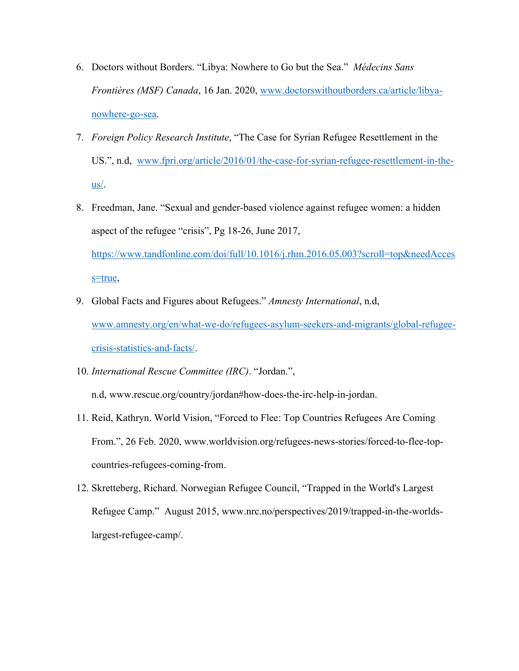- 6. Doctors without Borders. "Libya: Nowhere to Go but the Sea." *Médecins Sans Frontières (MSF) Canada*, 16 Jan. 2020, www.doctorswithoutborders.ca/article/libyanowhere-go-sea.
- 7. *Foreign Policy Research Institute*, "The Case for Syrian Refugee Resettlement in the US.", n.d, www.fpri.org/article/2016/01/the-case-for-syrian-refugee-resettlement-in-the- $\mathbf{u}\mathbf{s}/\mathbf{v}$
- 8. Freedman, Jane. "Sexual and gender-based violence against refugee women: a hidden aspect of the refugee "crisis", Pg 18-26, June 2017, https://www.tandfonline.com/doi/full/10.1016/j.rhm.2016.05.003?scroll=top&needAcces s=true,
- 9. Global Facts and Figures about Refugees." *Amnesty International*, n.d, www.amnesty.org/en/what-we-do/refugees-asylum-seekers-and-migrants/global-refugeecrisis-statistics-and-facts/.
- 10. *International Rescue Committee (IRC)*. "Jordan.",

n.d, www.rescue.org/country/jordan#how-does-the-irc-help-in-jordan.

- 11. Reid, Kathryn. World Vision, "Forced to Flee: Top Countries Refugees Are Coming From.", 26 Feb. 2020, www.worldvision.org/refugees-news-stories/forced-to-flee-topcountries-refugees-coming-from.
- 12. Skretteberg, Richard. Norwegian Refugee Council, "Trapped in the World's Largest Refugee Camp." August 2015, www.nrc.no/perspectives/2019/trapped-in-the-worldslargest-refugee-camp/.